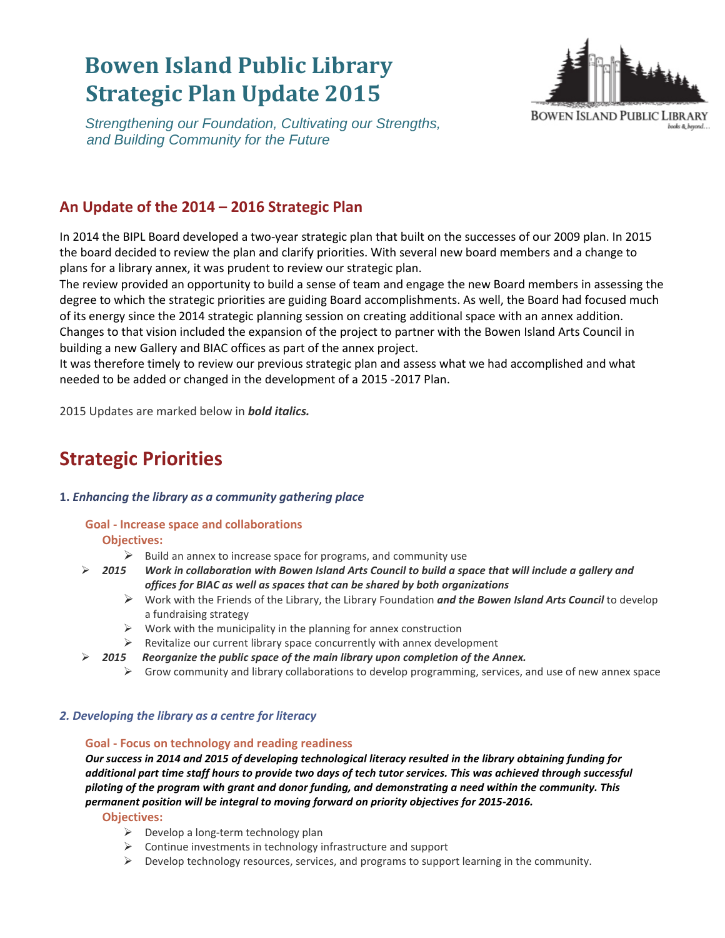# **Bowen Island Public Library Strategic Plan Update 2015**



 *Strengthening our Foundation, Cultivating our Strengths, and Building Community for the Future*

# **An Update of the 2014 – 2016 Strategic Plan**

In 2014 the BIPL Board developed a two-year strategic plan that built on the successes of our 2009 plan. In 2015 the board decided to review the plan and clarify priorities. With several new board members and a change to plans for a library annex, it was prudent to review our strategic plan.

The review provided an opportunity to build a sense of team and engage the new Board members in assessing the degree to which the strategic priorities are guiding Board accomplishments. As well, the Board had focused much of its energy since the 2014 strategic planning session on creating additional space with an annex addition. Changes to that vision included the expansion of the project to partner with the Bowen Island Arts Council in building a new Gallery and BIAC offices as part of the annex project.

It was therefore timely to review our previous strategic plan and assess what we had accomplished and what needed to be added or changed in the development of a 2015 -2017 Plan.

2015 Updates are marked below in *bold italics.*

# **Strategic Priorities**

# **1.** *Enhancing the library as a community gathering place*

## **Goal - Increase space and collaborations**

## **Objectives:**

- $\triangleright$  Build an annex to increase space for programs, and community use
- *2015 Work in collaboration with Bowen Island Arts Council to build a space that will include a gallery and offices for BIAC as well as spaces that can be shared by both organizations*
	- Work with the Friends of the Library, the Library Foundation *and the Bowen Island Arts Council* to develop a fundraising strategy
	- $\triangleright$  Work with the municipality in the planning for annex construction
	- $\triangleright$  Revitalize our current library space concurrently with annex development
- *2015 Reorganize the public space of the main library upon completion of the Annex.*
	- $\triangleright$  Grow community and library collaborations to develop programming, services, and use of new annex space

# *2. Developing the library as a centre for literacy*

## **Goal - Focus on technology and reading readiness**

*Our success in 2014 and 2015 of developing technological literacy resulted in the library obtaining funding for additional part time staff hours to provide two days of tech tutor services. This was achieved through successful piloting of the program with grant and donor funding, and demonstrating a need within the community. This permanent position will be integral to moving forward on priority objectives for 2015-2016.*

**Objectives:** 

- $\triangleright$  Develop a long-term technology plan
- $\triangleright$  Continue investments in technology infrastructure and support
- $\triangleright$  Develop technology resources, services, and programs to support learning in the community.